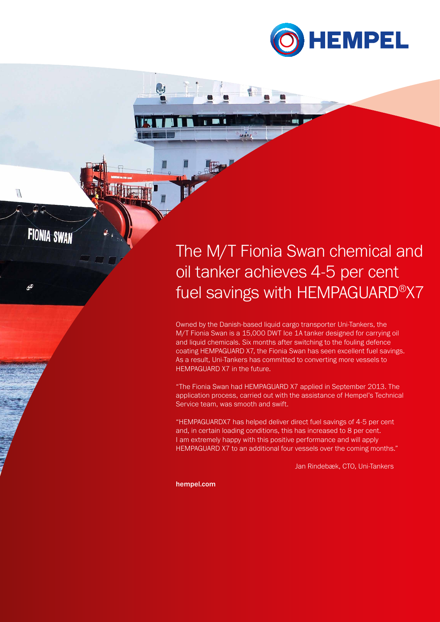

## The M/T Fionia Swan chemical and oil tanker achieves 4-5 per cent fuel savings with HEMPAGUARD®X7

Owned by the Danish-based liquid cargo transporter Uni-Tankers, the M/T Fionia Swan is a 15,000 DWT Ice 1A tanker designed for carrying oil and liquid chemicals. Six months after switching to the fouling defence coating HEMPAGUARD X7, the Fionia Swan has seen excellent fuel savings. As a result, Uni-Tankers has committed to converting more vessels to HEMPAGUARD X7 in the future.

"The Fionia Swan had HEMPAGUARD X7 applied in September 2013. The application process, carried out with the assistance of Hempel's Technical Service team, was smooth and swift.

"HEMPAGUARDX7 has helped deliver direct fuel savings of 4-5 per cent and, in certain loading conditions, this has increased to 8 per cent. I am extremely happy with this positive performance and will apply HEMPAGUARD X7 to an additional four vessels over the coming months."

Jan Rindebæk, CTO, Uni-Tankers

hempel.com

 $\mathbf{r}$  in 1

 $\overline{U}$ 

**FIONIA SWAN** 

 $10000$